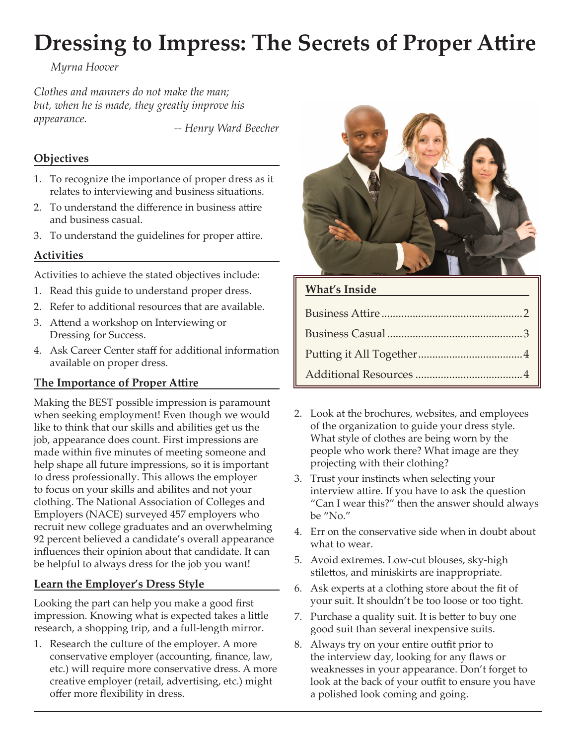# **Dressing to Impress: The Secrets of Proper Attire**

*Myrna Hoover*

*Clothes and manners do not make the man; but, when he is made, they greatly improve his appearance. -- Henry Ward Beecher*

## **Objectives**

- 1. To recognize the importance of proper dress as it relates to interviewing and business situations.
- 2. To understand the difference in business attire and business casual.
- 3. To understand the guidelines for proper attire.

## **Activities**

Activities to achieve the stated objectives include:

- 1. Read this guide to understand proper dress.
- 2. Refer to additional resources that are available.
- 3. Attend a workshop on Interviewing or Dressing for Success.
- 4. Ask Career Center staff for additional information available on proper dress.

# **The Importance of Proper Attire**

Making the BEST possible impression is paramount when seeking employment! Even though we would like to think that our skills and abilities get us the job, appearance does count. First impressions are made within five minutes of meeting someone and help shape all future impressions, so it is important to dress professionally. This allows the employer to focus on your skills and abilites and not your clothing. The National Association of Colleges and Employers (NACE) surveyed 457 employers who recruit new college graduates and an overwhelming 92 percent believed a candidate's overall appearance influences their opinion about that candidate. It can be helpful to always dress for the job you want!

# **Learn the Employer's Dress Style**

Looking the part can help you make a good first impression. Knowing what is expected takes a little research, a shopping trip, and a full-length mirror.

1. Research the culture of the employer. A more conservative employer (accounting, finance, law, etc.) will require more conservative dress. A more creative employer (retail, advertising, etc.) might offer more flexibility in dress.



# **What's Inside**

- 2. Look at the brochures, websites, and employees of the organization to guide your dress style. What style of clothes are being worn by the people who work there? What image are they projecting with their clothing?
- 3. Trust your instincts when selecting your interview attire. If you have to ask the question "Can I wear this?" then the answer should always be "No."
- 4. Err on the conservative side when in doubt about what to wear.
- 5. Avoid extremes. Low-cut blouses, sky-high stilettos, and miniskirts are inappropriate.
- 6. Ask experts at a clothing store about the fit of your suit. It shouldn't be too loose or too tight.
- 7. Purchase a quality suit. It is better to buy one good suit than several inexpensive suits.
- 8. Always try on your entire outfit prior to the interview day, looking for any flaws or weaknesses in your appearance. Don't forget to look at the back of your outfit to ensure you have a polished look coming and going.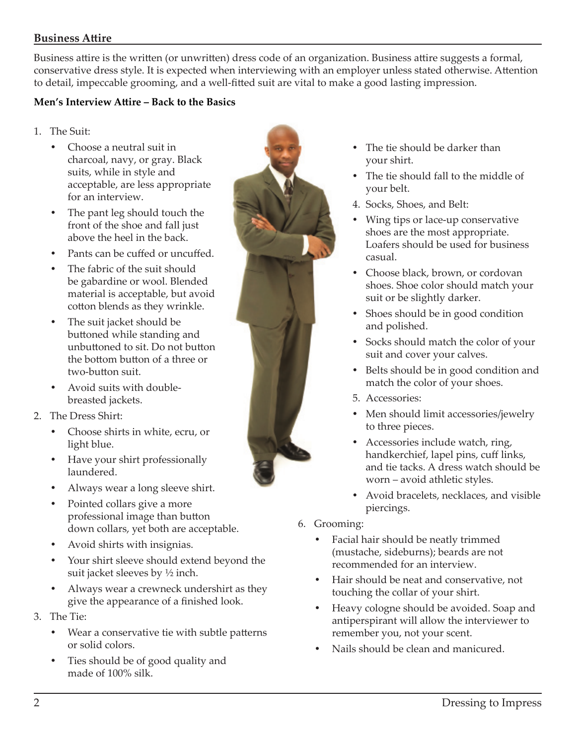## **Business Attire**

Business attire is the written (or unwritten) dress code of an organization. Business attire suggests a formal, conservative dress style. It is expected when interviewing with an employer unless stated otherwise. Attention to detail, impeccable grooming, and a well-fitted suit are vital to make a good lasting impression.

#### **Men's Interview Attire – Back to the Basics**

- 1. The Suit:
	- Choose a neutral suit in charcoal, navy, or gray. Black suits, while in style and acceptable, are less appropriate for an interview.
	- The pant leg should touch the front of the shoe and fall just above the heel in the back.
	- Pants can be cuffed or uncuffed.
	- The fabric of the suit should be gabardine or wool. Blended material is acceptable, but avoid cotton blends as they wrinkle.
	- The suit jacket should be buttoned while standing and unbuttoned to sit. Do not button the bottom button of a three or two-button suit.
	- Avoid suits with doublebreasted jackets.
- 2. The Dress Shirt:
	- y Choose shirts in white, ecru, or light blue.
	- Have your shirt professionally laundered.
	- Always wear a long sleeve shirt.
	- Pointed collars give a more professional image than button down collars, yet both are acceptable.
	- Avoid shirts with insignias.
	- Your shirt sleeve should extend beyond the suit jacket sleeves by ½ inch.
	- Always wear a crewneck undershirt as they give the appearance of a finished look.
- 3. The Tie:
	- Wear a conservative tie with subtle patterns or solid colors.
	- Ties should be of good quality and made of 100% silk.



- The tie should be darker than your shirt.
- The tie should fall to the middle of your belt.
- 4. Socks, Shoes, and Belt:
- Wing tips or lace-up conservative shoes are the most appropriate. Loafers should be used for business casual.
- Choose black, brown, or cordovan shoes. Shoe color should match your suit or be slightly darker.
- Shoes should be in good condition and polished.
- Socks should match the color of your suit and cover your calves.
- Belts should be in good condition and match the color of your shoes.
- 5. Accessories:
- Men should limit accessories/jewelry to three pieces.
- Accessories include watch, ring, handkerchief, lapel pins, cuff links, and tie tacks. A dress watch should be worn – avoid athletic styles.
- Avoid bracelets, necklaces, and visible piercings.
- 6. Grooming:
	- Facial hair should be neatly trimmed (mustache, sideburns); beards are not recommended for an interview.
	- Hair should be neat and conservative, not touching the collar of your shirt.
	- Heavy cologne should be avoided. Soap and antiperspirant will allow the interviewer to remember you, not your scent.
	- Nails should be clean and manicured.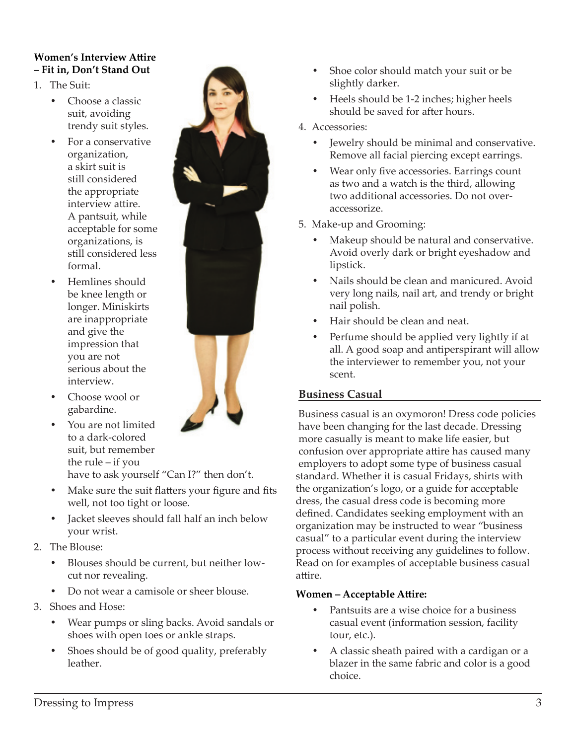## **Women's Interview Attire – Fit in, Don't Stand Out**

- 1. The Suit:
	- Choose a classic suit, avoiding trendy suit styles.
	- For a conservative organization, a skirt suit is still considered the appropriate interview attire. A pantsuit, while acceptable for some organizations, is still considered less formal.
	- Hemlines should be knee length or longer. Miniskirts are inappropriate and give the impression that you are not serious about the interview.



- Choose wool or gabardine.
- You are not limited to a dark-colored suit, but remember the rule – if you

have to ask yourself "Can I?" then don't.

- Make sure the suit flatters your figure and fits well, not too tight or loose.
- Jacket sleeves should fall half an inch below your wrist.
- 2. The Blouse:
	- Blouses should be current, but neither lowcut nor revealing.
	- Do not wear a camisole or sheer blouse.
- 3. Shoes and Hose:
	- Wear pumps or sling backs. Avoid sandals or shoes with open toes or ankle straps.
	- Shoes should be of good quality, preferably leather.
- Shoe color should match your suit or be slightly darker.
- Heels should be 1-2 inches; higher heels should be saved for after hours.
- 4. Accessories:
	- Jewelry should be minimal and conservative. Remove all facial piercing except earrings.
	- Wear only five accessories. Earrings count as two and a watch is the third, allowing two additional accessories. Do not overaccessorize.
- 5. Make-up and Grooming:
	- Makeup should be natural and conservative. Avoid overly dark or bright eyeshadow and lipstick.
	- Nails should be clean and manicured. Avoid very long nails, nail art, and trendy or bright nail polish.
	- Hair should be clean and neat.
	- Perfume should be applied very lightly if at all. A good soap and antiperspirant will allow the interviewer to remember you, not your scent.

# **Business Casual**

Business casual is an oxymoron! Dress code policies have been changing for the last decade. Dressing more casually is meant to make life easier, but confusion over appropriate attire has caused many employers to adopt some type of business casual standard. Whether it is casual Fridays, shirts with the organization's logo, or a guide for acceptable dress, the casual dress code is becoming more defined. Candidates seeking employment with an organization may be instructed to wear "business casual" to a particular event during the interview process without receiving any guidelines to follow. Read on for examples of acceptable business casual attire.

# **Women – Acceptable Attire:**

- Pantsuits are a wise choice for a business casual event (information session, facility tour, etc.).
- A classic sheath paired with a cardigan or a blazer in the same fabric and color is a good choice.